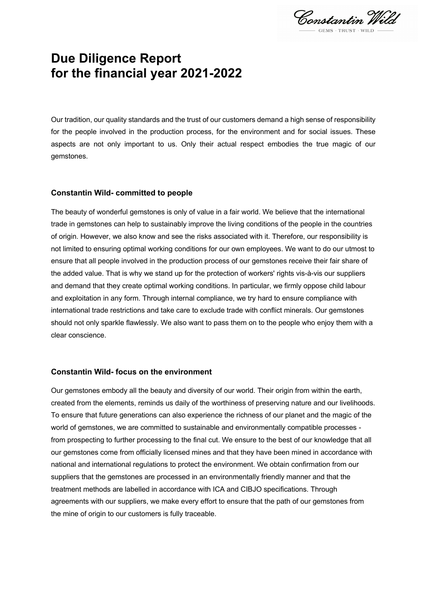Constantin Wild

# **Due Diligence Report for the financial year 2021-2022**

Our tradition, our quality standards and the trust of our customers demand a high sense of responsibility for the people involved in the production process, for the environment and for social issues. These aspects are not only important to us. Only their actual respect embodies the true magic of our gemstones.

#### **Constantin Wild- committed to people**

The beauty of wonderful gemstones is only of value in a fair world. We believe that the international trade in gemstones can help to sustainably improve the living conditions of the people in the countries of origin. However, we also know and see the risks associated with it. Therefore, our responsibility is not limited to ensuring optimal working conditions for our own employees. We want to do our utmost to ensure that all people involved in the production process of our gemstones receive their fair share of the added value. That is why we stand up for the protection of workers' rights vis-à-vis our suppliers and demand that they create optimal working conditions. In particular, we firmly oppose child labour and exploitation in any form. Through internal compliance, we try hard to ensure compliance with international trade restrictions and take care to exclude trade with conflict minerals. Our gemstones should not only sparkle flawlessly. We also want to pass them on to the people who enjoy them with a clear conscience.

#### **Constantin Wild- focus on the environment**

Our gemstones embody all the beauty and diversity of our world. Their origin from within the earth, created from the elements, reminds us daily of the worthiness of preserving nature and our livelihoods. To ensure that future generations can also experience the richness of our planet and the magic of the world of gemstones, we are committed to sustainable and environmentally compatible processes from prospecting to further processing to the final cut. We ensure to the best of our knowledge that all our gemstones come from officially licensed mines and that they have been mined in accordance with national and international regulations to protect the environment. We obtain confirmation from our suppliers that the gemstones are processed in an environmentally friendly manner and that the treatment methods are labelled in accordance with ICA and CIBJO specifications. Through agreements with our suppliers, we make every effort to ensure that the path of our gemstones from the mine of origin to our customers is fully traceable.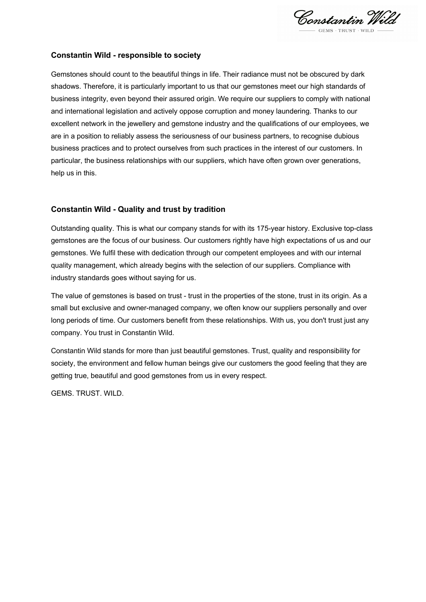Constantin Wild

# **Constantin Wild - responsible to society**

Gemstones should count to the beautiful things in life. Their radiance must not be obscured by dark shadows. Therefore, it is particularly important to us that our gemstones meet our high standards of business integrity, even beyond their assured origin. We require our suppliers to comply with national and international legislation and actively oppose corruption and money laundering. Thanks to our excellent network in the jewellery and gemstone industry and the qualifications of our employees, we are in a position to reliably assess the seriousness of our business partners, to recognise dubious business practices and to protect ourselves from such practices in the interest of our customers. In particular, the business relationships with our suppliers, which have often grown over generations, help us in this.

# **Constantin Wild - Quality and trust by tradition**

Outstanding quality. This is what our company stands for with its 175-year history. Exclusive top-class gemstones are the focus of our business. Our customers rightly have high expectations of us and our gemstones. We fulfil these with dedication through our competent employees and with our internal quality management, which already begins with the selection of our suppliers. Compliance with industry standards goes without saying for us.

The value of gemstones is based on trust - trust in the properties of the stone, trust in its origin. As a small but exclusive and owner-managed company, we often know our suppliers personally and over long periods of time. Our customers benefit from these relationships. With us, you don't trust just any company. You trust in Constantin Wild.

Constantin Wild stands for more than just beautiful gemstones. Trust, quality and responsibility for society, the environment and fellow human beings give our customers the good feeling that they are getting true, beautiful and good gemstones from us in every respect.

GEMS. TRUST. WILD.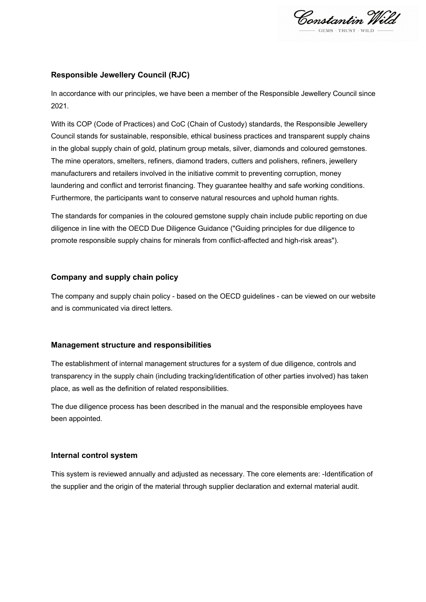Constantin Wild

# **Responsible Jewellery Council (RJC)**

In accordance with our principles, we have been a member of the Responsible Jewellery Council since 2021.

With its COP (Code of Practices) and CoC (Chain of Custody) standards, the Responsible Jewellery Council stands for sustainable, responsible, ethical business practices and transparent supply chains in the global supply chain of gold, platinum group metals, silver, diamonds and coloured gemstones. The mine operators, smelters, refiners, diamond traders, cutters and polishers, refiners, jewellery manufacturers and retailers involved in the initiative commit to preventing corruption, money laundering and conflict and terrorist financing. They guarantee healthy and safe working conditions. Furthermore, the participants want to conserve natural resources and uphold human rights.

The standards for companies in the coloured gemstone supply chain include public reporting on due diligence in line with the OECD Due Diligence Guidance ("Guiding principles for due diligence to promote responsible supply chains for minerals from conflict-affected and high-risk areas").

# **Company and supply chain policy**

The company and supply chain policy - based on the OECD guidelines - can be viewed on our website and is communicated via direct letters.

# **Management structure and responsibilities**

The establishment of internal management structures for a system of due diligence, controls and transparency in the supply chain (including tracking/identification of other parties involved) has taken place, as well as the definition of related responsibilities.

The due diligence process has been described in the manual and the responsible employees have been appointed.

#### **Internal control system**

This system is reviewed annually and adjusted as necessary. The core elements are: -Identification of the supplier and the origin of the material through supplier declaration and external material audit.